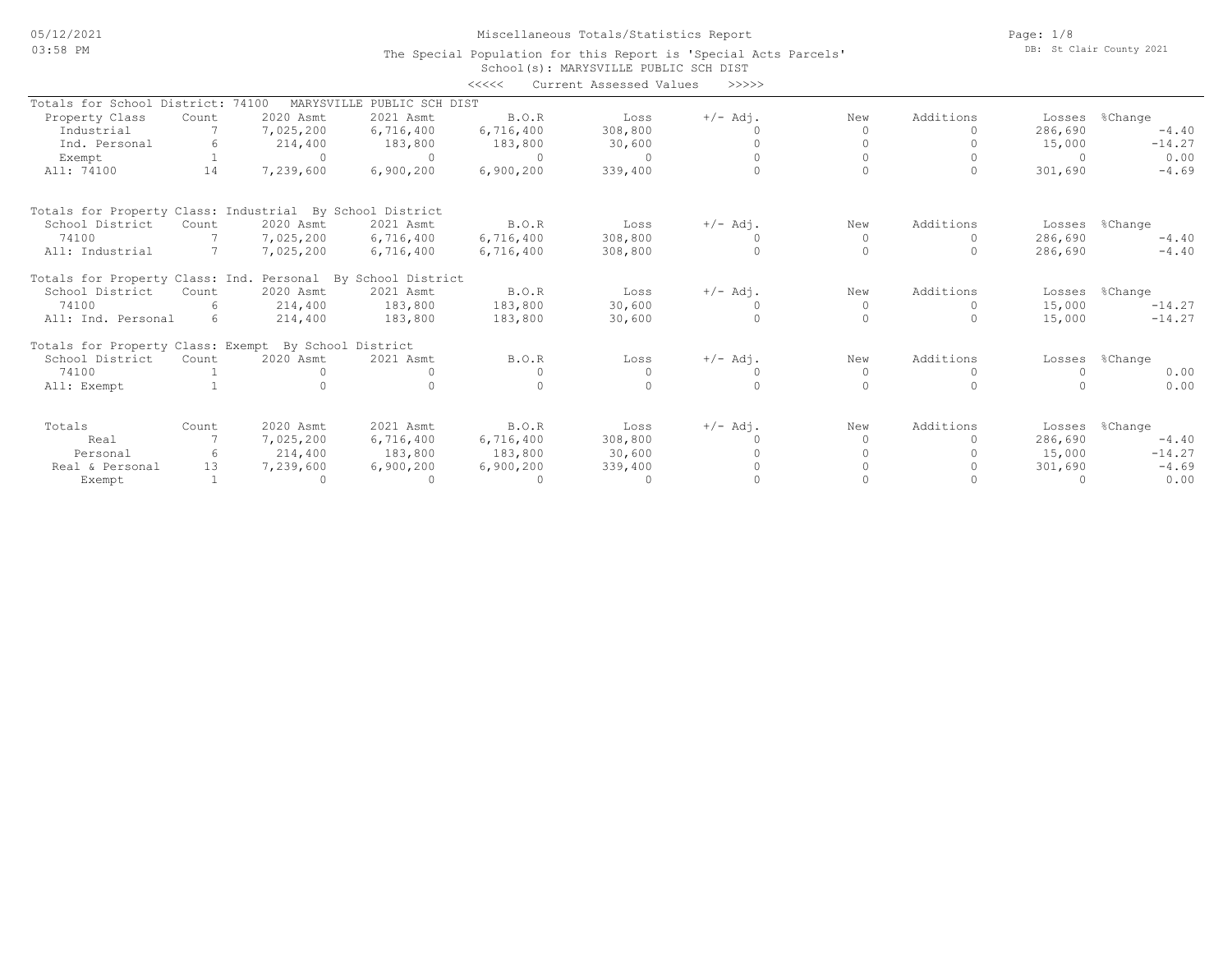## Miscellaneous Totals/Statistics Report

The Special Population for this Report is 'Special Acts Parcels'

Page: 1/8 DB: St Clair County 2021

|                                                             |       |                     |                 |              | School (s): MARYSVILLE PUBLIC SCH DIST |            |          |           |          |          |
|-------------------------------------------------------------|-------|---------------------|-----------------|--------------|----------------------------------------|------------|----------|-----------|----------|----------|
|                                                             |       |                     |                 | <<<<         | Current Assessed Values                | >>>>>      |          |           |          |          |
| Totals for School District:                                 |       | 74100<br>MARYSVILLE | PUBLIC SCH DIST |              |                                        |            |          |           |          |          |
| Property Class                                              | Count | 2020 Asmt           | 2021 Asmt       | <b>B.O.R</b> | Loss                                   | $+/-$ Adj. | New      | Additions | Losses   | %Change  |
| Industrial                                                  |       | 7,025,200           | 6,716,400       | 6,716,400    | 308,800                                |            |          |           | 286,690  | $-4.40$  |
| Ind. Personal                                               |       | 214,400             | 183,800         | 183,800      | 30,600                                 |            |          | $\bigcap$ | 15,000   | $-14.27$ |
| Exempt                                                      |       | $\bigcap$           | $\Omega$        | $\Omega$     | $\Omega$                               |            |          |           | $\Omega$ | 0.00     |
| All: 74100                                                  | 14    | 7,239,600           | 6,900,200       | 6,900,200    | 339,400                                |            |          | $\Omega$  | 301,690  | $-4.69$  |
| Totals for Property Class: Industrial By School District    |       |                     |                 |              |                                        |            |          |           |          |          |
| School District                                             | Count | 2020 Asmt           | 2021 Asmt       | B.O.R        | Loss                                   | $+/-$ Adj. | New      | Additions | Losses   | %Change  |
| 74100                                                       |       | 7,025,200           | 6,716,400       | 6,716,400    | 308,800                                |            | $\Omega$ | $\Omega$  | 286,690  | $-4.40$  |
| All: Industrial                                             |       | 7,025,200           | 6,716,400       | 6,716,400    | 308,800                                | $\Omega$   | $\Omega$ | $\Omega$  | 286,690  | $-4.40$  |
| Totals for Property Class: Ind. Personal By School District |       |                     |                 |              |                                        |            |          |           |          |          |
| School District                                             | Count | 2020 Asmt           | 2021 Asmt       | B.O.R        | Loss                                   | $+/-$ Adj. | New      | Additions | Losses   | %Change  |
| 74100                                                       | 6     | 214,400             | 183,800         | 183,800      | 30,600                                 |            | $\Omega$ | 0         | 15,000   | $-14.27$ |
| All: Ind. Personal                                          | 6     | 214,400             | 183,800         | 183,800      | 30,600                                 | $\cap$     | $\Omega$ | $\Omega$  | 15,000   | $-14.27$ |
| Totals for Property Class: Exempt By School District        |       |                     |                 |              |                                        |            |          |           |          |          |
| School District                                             | Count | 2020 Asmt           | 2021 Asmt       | B.O.R        | Loss                                   | $+/-$ Adj. | New      | Additions | Losses   | %Change  |
| 74100                                                       |       |                     |                 |              | $\Omega$                               |            | $\Omega$ | $\Omega$  | $\Omega$ | 0.00     |
| All: Exempt                                                 |       |                     |                 |              |                                        |            |          |           |          | 0.00     |
| Totals                                                      | Count | 2020 Asmt           | 2021 Asmt       | B.O.R        | Loss                                   | $+/-$ Adj. | New      | Additions | Losses   | %Change  |
| Real                                                        |       | 7,025,200           | 6,716,400       | 6,716,400    | 308,800                                |            | O.       |           | 286,690  | $-4.40$  |
| Personal                                                    | 6     | 214,400             | 183,800         | 183,800      | 30,600                                 |            |          |           | 15,000   | $-14.27$ |
| Real & Personal                                             | 13    | 7,239,600           | 6,900,200       | 6,900,200    | 339,400                                |            |          |           | 301,690  | $-4.69$  |
| Exempt                                                      |       | $\bigcap$           | $\bigcap$       | $\Omega$     | $\Omega$                               |            |          |           | $\Omega$ | 0.00     |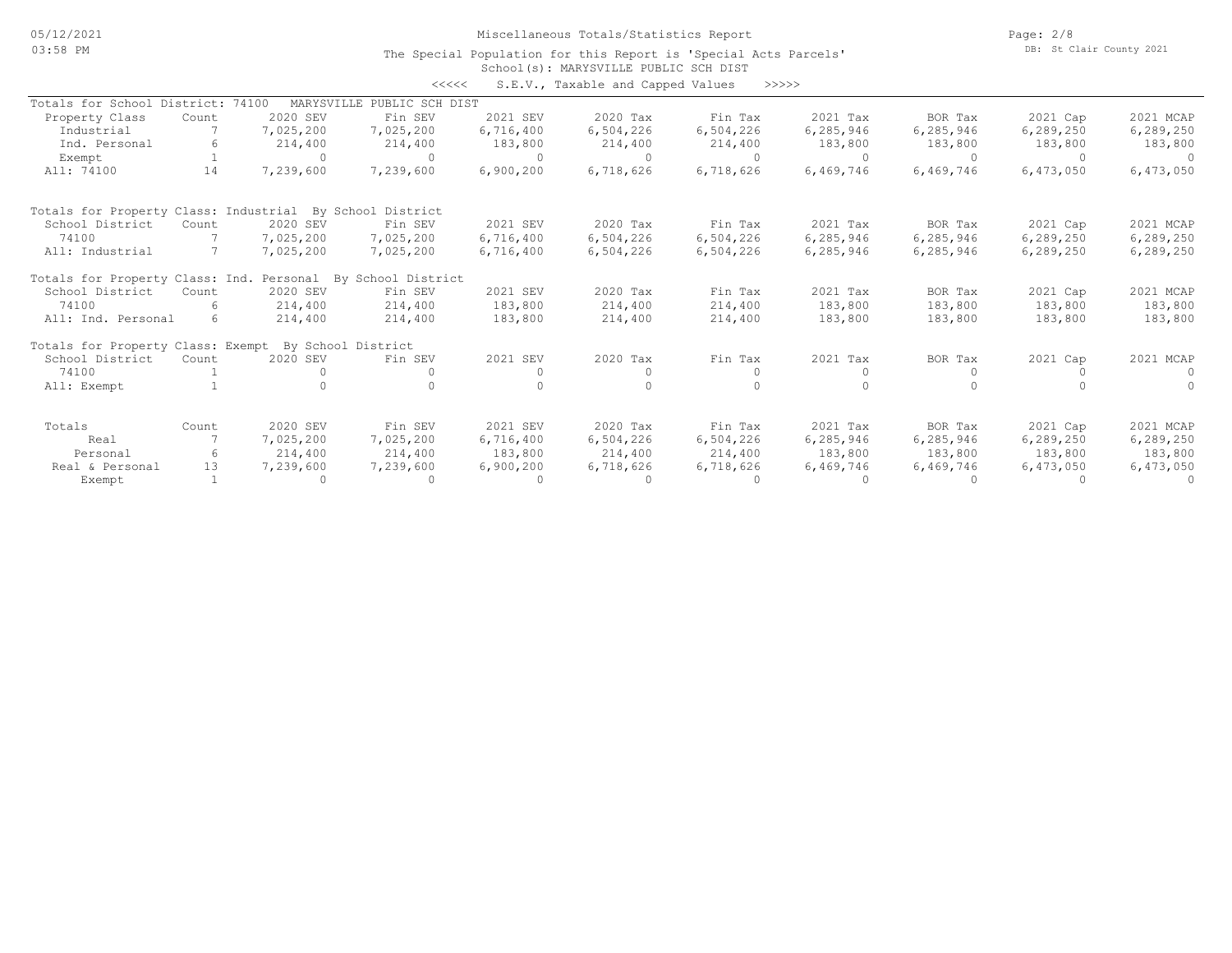Miscellaneous Totals/Statistics Report

Page: 2/8 DB: St Clair County 2021

#### School(s): MARYSVILLE PUBLIC SCH DIST The Special Population for this Report is 'Special Acts Parcels'

<<<<< S.E.V., Taxable and Capped Values >>>>>

|                                                          |       |            | ノンシンシ                       |           | U.B.V., laxable and capped values 77777 |           |             |             |             |             |
|----------------------------------------------------------|-------|------------|-----------------------------|-----------|-----------------------------------------|-----------|-------------|-------------|-------------|-------------|
| Totals for School District: 74100                        |       | MARYSVILLE | PUBLIC SCH DIST             |           |                                         |           |             |             |             |             |
| Property Class                                           | Count | 2020 SEV   | Fin SEV                     | 2021 SEV  | 2020 Tax                                | Fin Tax   | 2021 Tax    | BOR Tax     | 2021 Cap    | 2021 MCAP   |
| Industrial                                               |       | 7,025,200  | 7,025,200                   | 6,716,400 | 6,504,226                               | 6,504,226 | 6,285,946   | 6, 285, 946 | 6, 289, 250 | 6, 289, 250 |
| Ind. Personal                                            | 6     | 214,400    | 214,400                     | 183,800   | 214,400                                 | 214,400   | 183,800     | 183,800     | 183,800     | 183,800     |
| Exempt                                                   |       | $\cap$     | $\Omega$                    | $\Omega$  | $\Omega$                                | $\Omega$  | $\bigcap$   |             | $\Omega$    |             |
| All: 74100                                               | 14    | 7,239,600  | 7,239,600                   | 6,900,200 | 6,718,626                               | 6,718,626 | 6,469,746   | 6,469,746   | 6,473,050   | 6,473,050   |
| Totals for Property Class: Industrial By School District |       |            |                             |           |                                         |           |             |             |             |             |
| School District                                          | Count | 2020 SEV   | Fin SEV                     | 2021 SEV  | 2020 Tax                                | Fin Tax   | 2021 Tax    | BOR Tax     | 2021 Cap    | 2021 MCAP   |
| 74100                                                    |       | 7,025,200  | 7,025,200                   | 6,716,400 | 6,504,226                               | 6,504,226 | 6,285,946   | 6,285,946   | 6,289,250   | 6,289,250   |
| All: Industrial                                          |       | 7,025,200  | 7,025,200                   | 6,716,400 | 6,504,226                               | 6,504,226 | 6,285,946   | 6,285,946   | 6,289,250   | 6, 289, 250 |
| Totals for Property Class: Ind.                          |       |            | Personal By School District |           |                                         |           |             |             |             |             |
| School District                                          | Count | 2020 SEV   | Fin SEV                     | 2021 SEV  | 2020 Tax                                | Fin Tax   | 2021 Tax    | BOR Tax     | 2021 Cap    | 2021 MCAP   |
| 74100                                                    | 6     | 214,400    | 214,400                     | 183,800   | 214,400                                 | 214,400   | 183,800     | 183,800     | 183,800     | 183,800     |
| All: Ind. Personal                                       | 6     | 214,400    | 214,400                     | 183,800   | 214,400                                 | 214,400   | 183,800     | 183,800     | 183,800     | 183,800     |
| Totals for Property Class: Exempt By School District     |       |            |                             |           |                                         |           |             |             |             |             |
| School District                                          | Count | 2020 SEV   | Fin SEV                     | 2021 SEV  | 2020 Tax                                | Fin Tax   | 2021 Tax    | BOR Tax     | 2021 Cap    | 2021 MCAP   |
| 74100                                                    |       |            |                             |           | $\Omega$                                |           |             |             |             |             |
| All: Exempt                                              |       |            |                             |           |                                         |           |             |             |             |             |
| Totals                                                   | Count | 2020 SEV   | Fin SEV                     | 2021 SEV  | 2020 Tax                                | Fin Tax   | 2021 Tax    | BOR Tax     | 2021 Cap    | 2021 MCAP   |
| Real                                                     |       | 7,025,200  | 7,025,200                   | 6,716,400 | 6,504,226                               | 6,504,226 | 6, 285, 946 | 6, 285, 946 | 6, 289, 250 | 6,289,250   |
| Personal                                                 | 6     | 214,400    | 214,400                     | 183,800   | 214,400                                 | 214,400   | 183,800     | 183,800     | 183,800     | 183,800     |
| Real & Personal                                          | 13    | 7,239,600  | 7,239,600                   | 6,900,200 | 6,718,626                               | 6,718,626 | 6,469,746   | 6,469,746   | 6,473,050   | 6,473,050   |
| Exempt                                                   |       |            | $\Omega$                    |           | $\Omega$                                |           |             |             |             |             |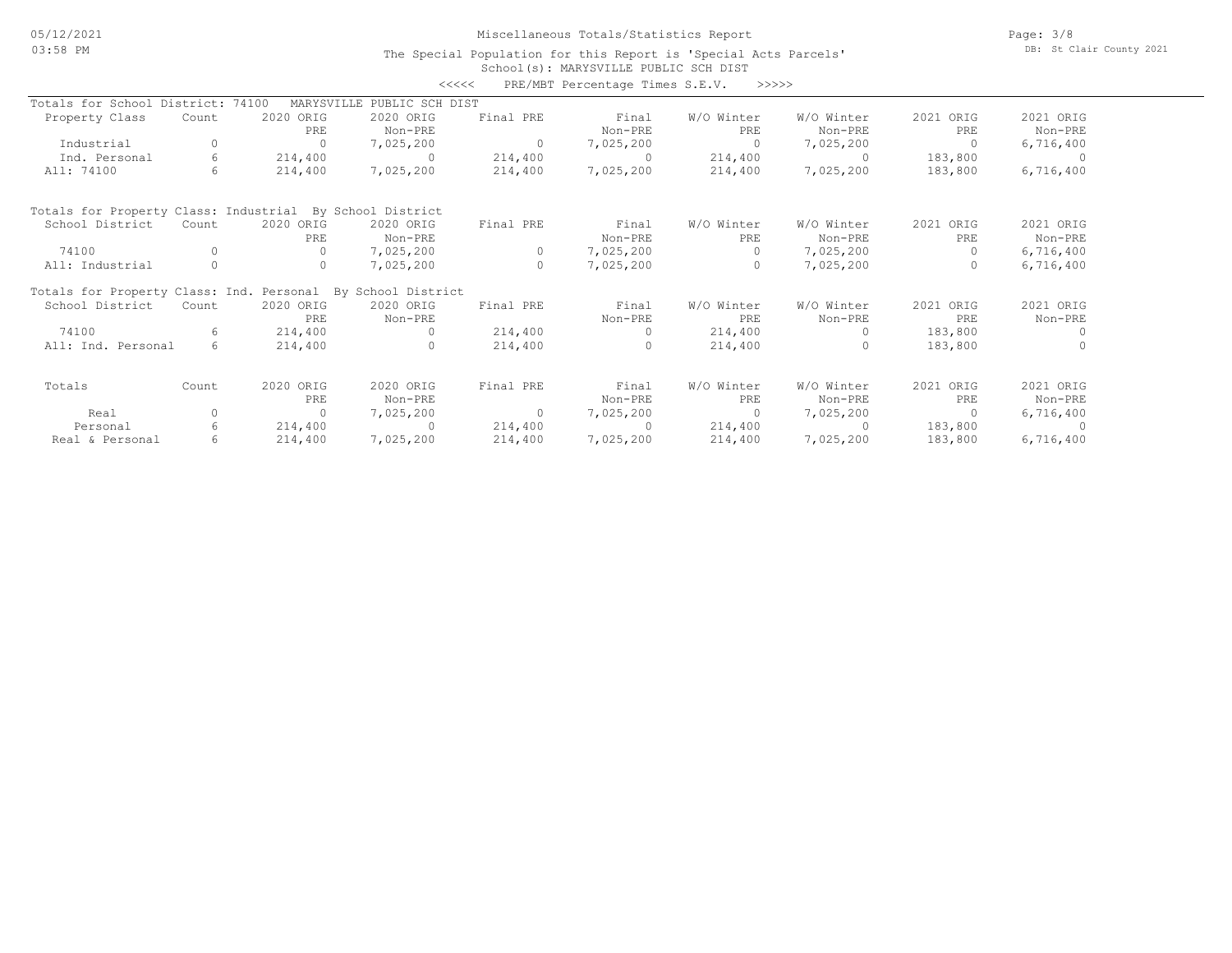## Miscellaneous Totals/Statistics Report

Page: 3/8 DB: St Clair County 2021

### School(s): MARYSVILLE PUBLIC SCH DIST The Special Population for this Report is 'Special Acts Parcels'

|                                                             |             |            |                 | くくくくく          | PRE/MBT Percentage Times S.E.V. | >>>>>      |            |                |           |
|-------------------------------------------------------------|-------------|------------|-----------------|----------------|---------------------------------|------------|------------|----------------|-----------|
| Totals for School District: 74100                           |             | MARYSVILLE | PUBLIC SCH DIST |                |                                 |            |            |                |           |
| Property Class                                              | Count       | 2020 ORIG  | 2020 ORIG       | Final PRE      | Final                           | W/O Winter | W/O Winter | 2021 ORIG      | 2021 ORIG |
|                                                             |             | PRE        | Non-PRE         |                | Non-PRE                         | PRE        | Non-PRE    | PRE            | Non-PRE   |
| Industrial                                                  | 0           | $\Omega$   | 7,025,200       | $\overline{0}$ | 7,025,200                       | $\Omega$   | 7,025,200  | $\Omega$       | 6,716,400 |
| Ind. Personal                                               | 6           | 214,400    | $\Omega$        | 214,400        | $\Omega$                        | 214,400    | $\Omega$   | 183,800        | - 0       |
| All: 74100                                                  | 6           | 214,400    | 7,025,200       | 214,400        | 7,025,200                       | 214,400    | 7,025,200  | 183,800        | 6,716,400 |
| Totals for Property Class: Industrial By School District    |             |            |                 |                |                                 |            |            |                |           |
| School District                                             | Count       | 2020 ORIG  | 2020 ORIG       | Final PRE      | Final                           | W/O Winter | W/O Winter | 2021 ORIG      | 2021 ORIG |
|                                                             |             | <b>PRE</b> | Non-PRE         |                | Non-PRE                         | PRE        | Non-PRE    | PRE            | Non-PRE   |
| 74100                                                       | $\Omega$    | $\Omega$   | 7,025,200       | $\circ$        | 7,025,200                       | $\Omega$   | 7,025,200  | $\Omega$       | 6,716,400 |
| All: Industrial                                             | $\circ$     | $\circ$    | 7,025,200       | $\circ$        | 7,025,200                       | $\circ$    | 7,025,200  | $\Omega$       | 6,716,400 |
| Totals for Property Class: Ind. Personal By School District |             |            |                 |                |                                 |            |            |                |           |
| School District                                             | Count       | 2020 ORIG  | 2020 ORIG       | Final PRE      | Final                           | W/O Winter | W/O Winter | 2021 ORIG      | 2021 ORIG |
|                                                             |             | PRE.       | Non-PRE         |                | Non-PRE                         | PRE.       | Non-PRE    | PRE            | Non-PRE   |
| 74100                                                       | 6           | 214,400    | $\Omega$        | 214,400        | $\Omega$                        | 214,400    | $\bigcap$  | 183,800        |           |
| All: Ind. Personal                                          | $6^{\circ}$ | 214,400    | $\Omega$        | 214,400        | $\cap$                          | 214,400    | $\Omega$   | 183,800        |           |
| Totals                                                      | Count       | 2020 ORIG  | 2020 ORIG       | Final PRE      | Final                           | W/O Winter | W/O Winter | 2021 ORIG      | 2021 ORIG |
|                                                             |             | PRE        | Non-PRE         |                | Non-PRE                         | PRE        | Non-PRE    | PRE            | Non-PRE   |
| Real                                                        | $\circ$     | $\Omega$   | 7,025,200       | $\overline{0}$ | 7,025,200                       | $\Omega$   | 7,025,200  | $\overline{0}$ | 6,716,400 |
| Personal                                                    | 6           | 214,400    | $\Omega$        | 214,400        | $\cap$                          | 214,400    | $\Omega$   | 183,800        |           |
| Real & Personal                                             | 6           | 214,400    | 7,025,200       | 214,400        | 7,025,200                       | 214,400    | 7,025,200  | 183,800        | 6,716,400 |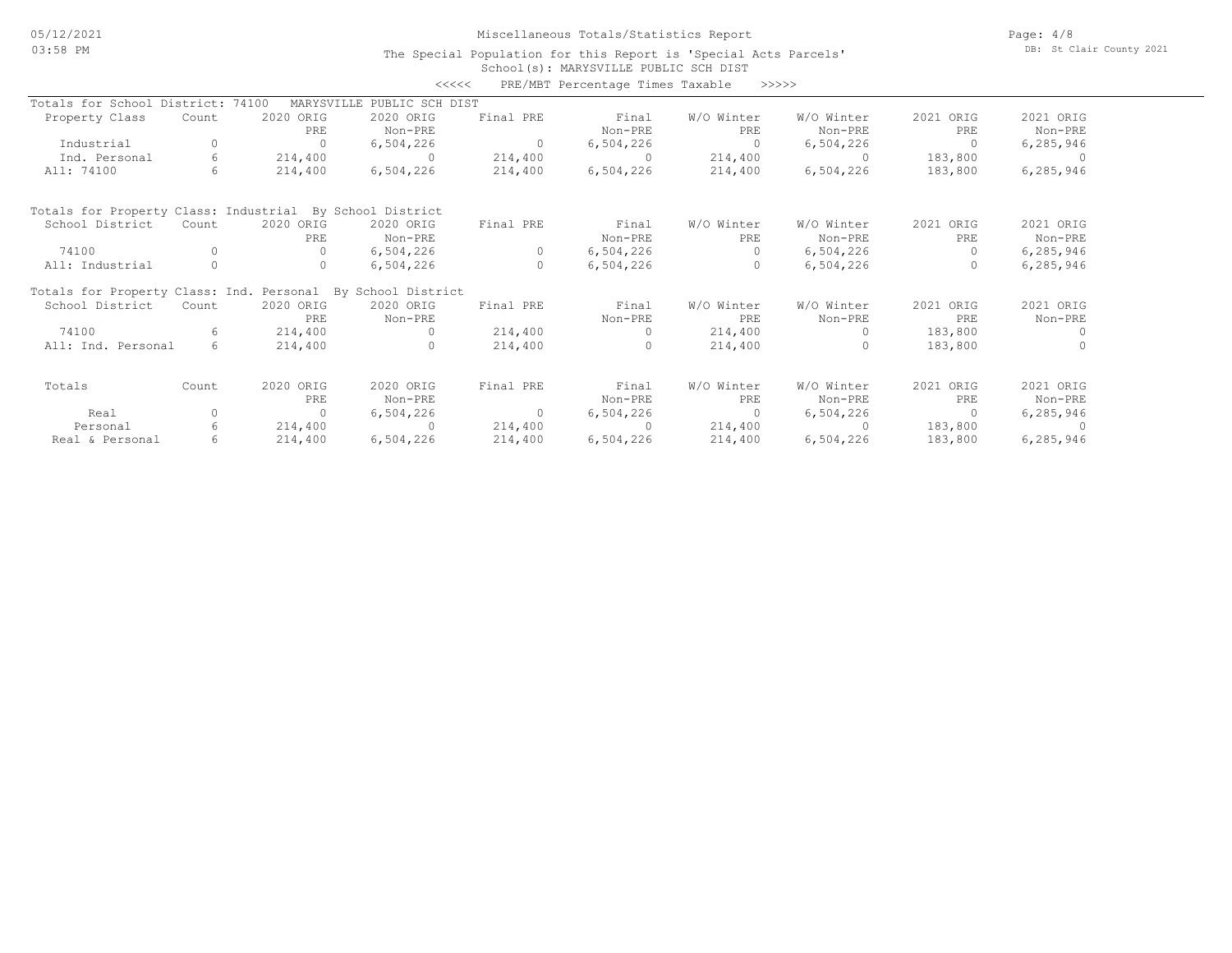## Miscellaneous Totals/Statistics Report

Page: 4/8 DB: St Clair County 2021

#### School(s): MARYSVILLE PUBLIC SCH DIST The Special Population for this Report is 'Special Acts Parcels'

|                                                             |       |            | <<<<            |           | PRE/MBT Percentage Times Taxable |            | >>>>>      |           |             |
|-------------------------------------------------------------|-------|------------|-----------------|-----------|----------------------------------|------------|------------|-----------|-------------|
| Totals for School District: 74100                           |       | MARYSVILLE | PUBLIC SCH DIST |           |                                  |            |            |           |             |
| Property Class                                              | Count | 2020 ORIG  | 2020 ORIG       | Final PRE | Final                            | W/O Winter | W/O Winter | 2021 ORIG | 2021 ORIG   |
|                                                             |       | PRE        | Non-PRE         |           | Non-PRE                          | PRE        | Non-PRE    | PRE       | Non-PRE     |
| Industrial                                                  | 0     | $\Omega$   | 6,504,226       | $\Omega$  | 6,504,226                        | $\Omega$   | 6,504,226  | $\Omega$  | 6, 285, 946 |
| Ind. Personal                                               | 6     | 214,400    | $\Omega$        | 214,400   | $\Omega$                         | 214,400    | $\Omega$   | 183,800   | - 0         |
| All: 74100                                                  | 6     | 214,400    | 6,504,226       | 214,400   | 6,504,226                        | 214,400    | 6,504,226  | 183,800   | 6, 285, 946 |
| Totals for Property Class: Industrial By School District    |       |            |                 |           |                                  |            |            |           |             |
| School District                                             | Count | 2020 ORIG  | 2020 ORIG       | Final PRE | Final                            | W/O Winter | W/O Winter | 2021 ORIG | 2021 ORIG   |
|                                                             |       | PRE        | Non-PRE         |           | Non-PRE                          | PRE        | Non-PRE    | PRE       | Non-PRE     |
| 74100                                                       | O     | $\Omega$   | 6,504,226       | $\circ$   | 6,504,226                        | $\Omega$   | 6,504,226  | $\Omega$  | 6, 285, 946 |
| All: Industrial                                             |       | 0          | 6,504,226       | $\circ$   | 6,504,226                        | $\circ$    | 6,504,226  | $\Omega$  | 6, 285, 946 |
| Totals for Property Class: Ind. Personal By School District |       |            |                 |           |                                  |            |            |           |             |
| School District                                             | Count | 2020 ORIG  | 2020 ORIG       | Final PRE | Final                            | W/O Winter | W/O Winter | 2021 ORIG | 2021 ORIG   |
|                                                             |       | PRE        | Non-PRE         |           | Non-PRE                          | PRE        | Non-PRE    | PRE       | Non-PRE     |
| 74100                                                       | 6.    | 214,400    |                 | 214,400   | $\Omega$                         | 214,400    |            | 183,800   | $\Omega$    |
| All: Ind. Personal                                          | 6     | 214,400    | 0               | 214,400   | $\Omega$                         | 214,400    |            | 183,800   |             |
| Totals                                                      | Count | 2020 ORIG  | 2020 ORIG       | Final PRE | Final                            | W/O Winter | W/O Winter | 2021 ORIG | 2021 ORIG   |
|                                                             |       | PRE        | Non-PRE         |           | Non-PRE                          | PRE        | Non-PRE    | PRE       | Non-PRE     |
| Real                                                        | O     | 0          | 6,504,226       | $\circ$   | 6,504,226                        | $\circ$    | 6,504,226  | $\Omega$  | 6, 285, 946 |
| Personal                                                    | 6     | 214,400    | $\bigcap$       | 214,400   | $\Omega$                         | 214,400    |            | 183,800   |             |
| Real & Personal                                             | 6     | 214,400    | 6,504,226       | 214,400   | 6,504,226                        | 214,400    | 6,504,226  | 183,800   | 6, 285, 946 |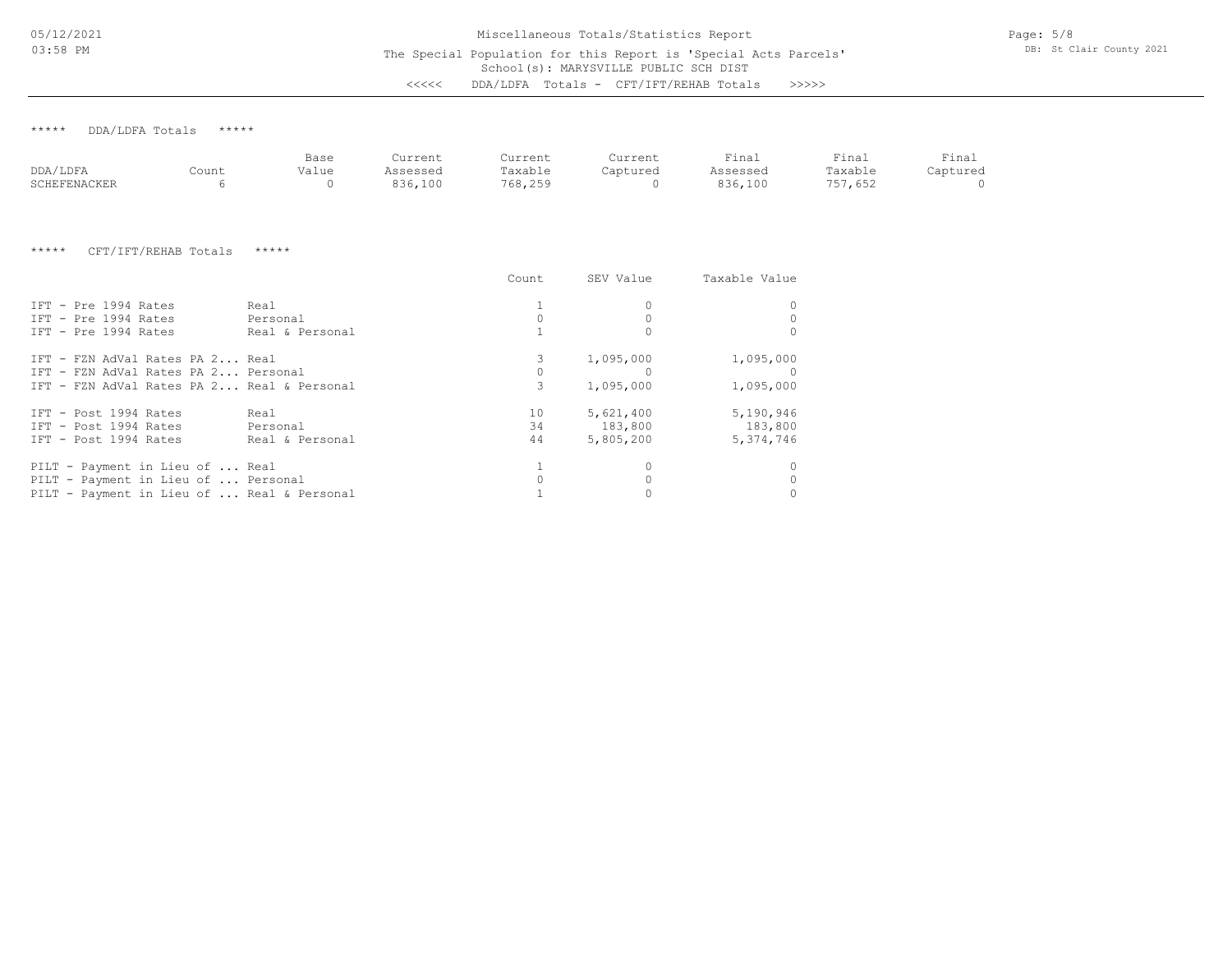The Special Population for this Report is 'Special Acts Parcels'

Page: 5/8 DB: St Clair County 2021

School(s): MARYSVILLE PUBLIC SCH DIST

<<<<< DDA/LDFA Totals - CFT/IFT/REHAB Totals >>>>>

\*\*\*\*\* DDA/LDFA Totals \*\*\*\*\*

|              |       | Base  | Current     | Current | Current  | Fina <sub>1</sub> | Final          | Final    |
|--------------|-------|-------|-------------|---------|----------|-------------------|----------------|----------|
| DDA/LDFA     | Count | Value | Assessed    | Taxable | Captured | Assessed          | Taxable        | aptured: |
| SCHEFENACKER |       |       | 836<br>,100 | 768,255 |          | 836,100           | 157,652<br>757 |          |

\*\*\*\*\* CFT/IFT/REHAB Totals \*\*\*\*\*

|                                            |                 | Count | SEV Value | Taxable Value |
|--------------------------------------------|-----------------|-------|-----------|---------------|
| IFT - Pre 1994 Rates                       | Real            |       |           |               |
| IFT - Pre 1994 Rates                       | Personal        |       |           |               |
| IFT - Pre 1994 Rates                       | Real & Personal |       |           |               |
| IFT - FZN AdVal Rates PA 2 Real            |                 |       | 1,095,000 | 1,095,000     |
| IFT - FZN AdVal Rates PA 2 Personal        |                 |       |           |               |
| IFT - FZN AdVal Rates PA 2 Real & Personal |                 | 3     | 1,095,000 | 1,095,000     |
| IFT - Post 1994 Rates                      | Real            | 10    | 5,621,400 | 5,190,946     |
| TFT - Post 1994 Rates                      | Personal        | 34    | 183,800   | 183,800       |
| IFT - Post 1994 Rates                      | Real & Personal | 44    | 5,805,200 | 5,374,746     |
| PILT - Payment in Lieu of  Real            |                 |       |           |               |
| PILT - Payment in Lieu of  Personal        |                 |       |           |               |
| PILT - Payment in Lieu of  Real & Personal |                 |       |           |               |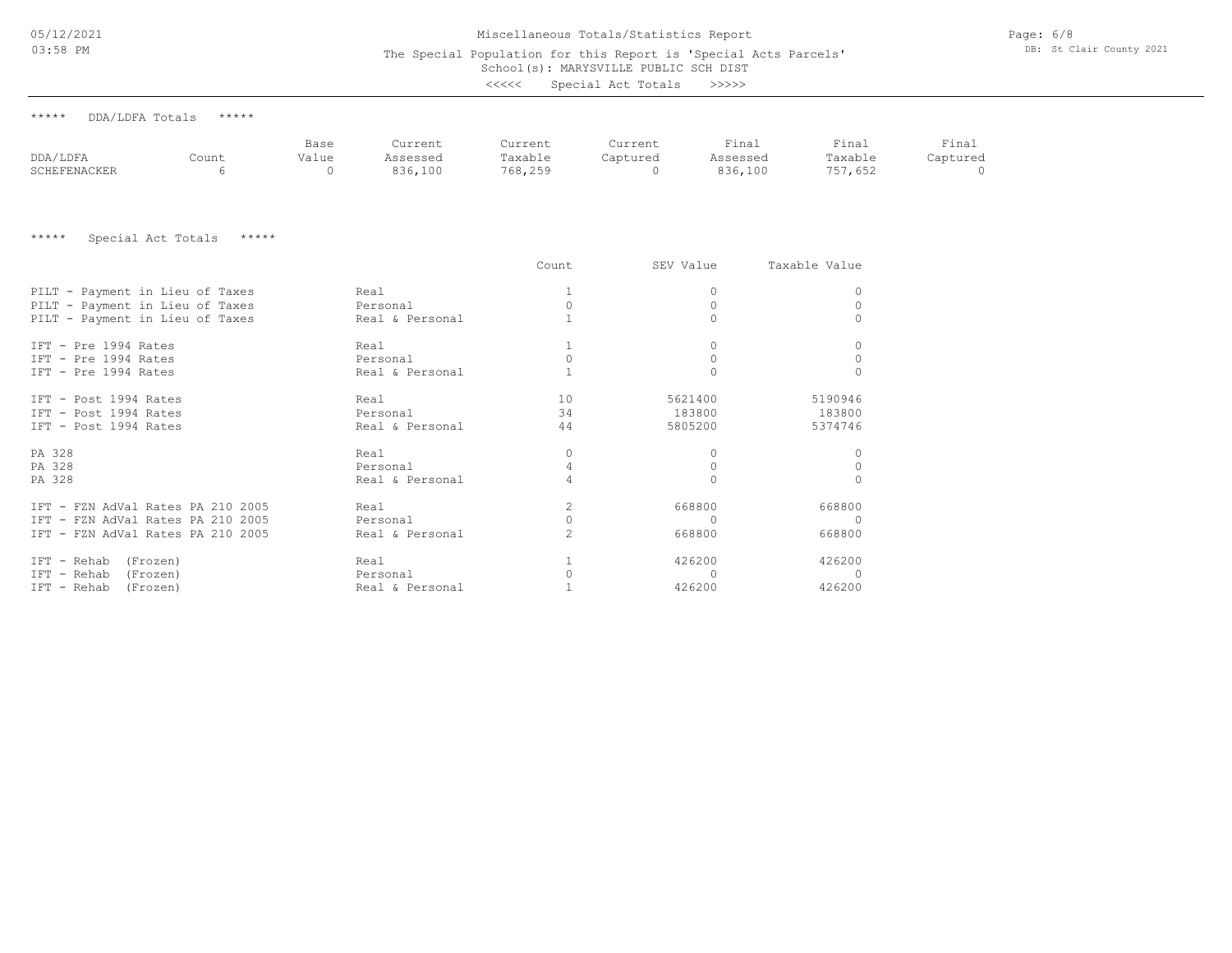## Miscellaneous Totals/Statistics Report

The Special Population for this Report is 'Special Acts Parcels'

Page: 6/8 DB: St Clair County 2021

# School(s): MARYSVILLE PUBLIC SCH DIST

| <<<< | Special Act Totals |  |  | >>>>> |
|------|--------------------|--|--|-------|
|------|--------------------|--|--|-------|

| ***** | DDA/LDFA Totals | ***** |
|-------|-----------------|-------|
|       |                 |       |

|              |       | Base  | Current  | Current | Current  | Final    | Final          | Final    |
|--------------|-------|-------|----------|---------|----------|----------|----------------|----------|
| DDA/LDFA     | Count | Value | Assessed | Taxable | Captured | Assessed | Taxable        | Captured |
| SCHEFENACKER |       |       | 836,100  | 768,255 |          | 836,100  | 757<br>157,652 |          |

\*\*\*\*\* Special Act Totals \*\*\*\*\*

|                                   |                 | Count | SEV Value | Taxable Value |
|-----------------------------------|-----------------|-------|-----------|---------------|
| PILT - Payment in Lieu of Taxes   | Real            |       |           | 0             |
| PILT - Payment in Lieu of Taxes   | Personal        |       |           | $\circ$       |
| PILT - Payment in Lieu of Taxes   | Real & Personal |       |           |               |
| TFT - Pre 1994 Rates              | Real            |       |           | 0             |
| IFT - Pre 1994 Rates              | Personal        |       |           | 0             |
| IFT - Pre 1994 Rates              | Real & Personal |       |           | $\mathbf 0$   |
| IFT - Post 1994 Rates             | Real            | 10    | 5621400   | 5190946       |
| IFT - Post 1994 Rates             | Personal        | 34    | 183800    | 183800        |
| IFT - Post 1994 Rates             | Real & Personal | 44    | 5805200   | 5374746       |
| PA 328                            | Real            | 0     |           | 0             |
| PA 328                            | Personal        |       |           | $\circ$       |
| PA 328                            | Real & Personal |       |           | $\circ$       |
| IFT - FZN AdVal Rates PA 210 2005 | Real            | 2     | 668800    | 668800        |
| IFT - FZN AdVal Rates PA 210 2005 | Personal        |       |           | 0             |
| IFT - FZN AdVal Rates PA 210 2005 | Real & Personal |       | 668800    | 668800        |
| IFT - Rehab (Frozen)              | Real            |       | 426200    | 426200        |
| IFT - Rehab (Frozen)              | Personal        |       |           |               |
| IFT - Rehab (Frozen)              | Real & Personal |       | 426200    | 426200        |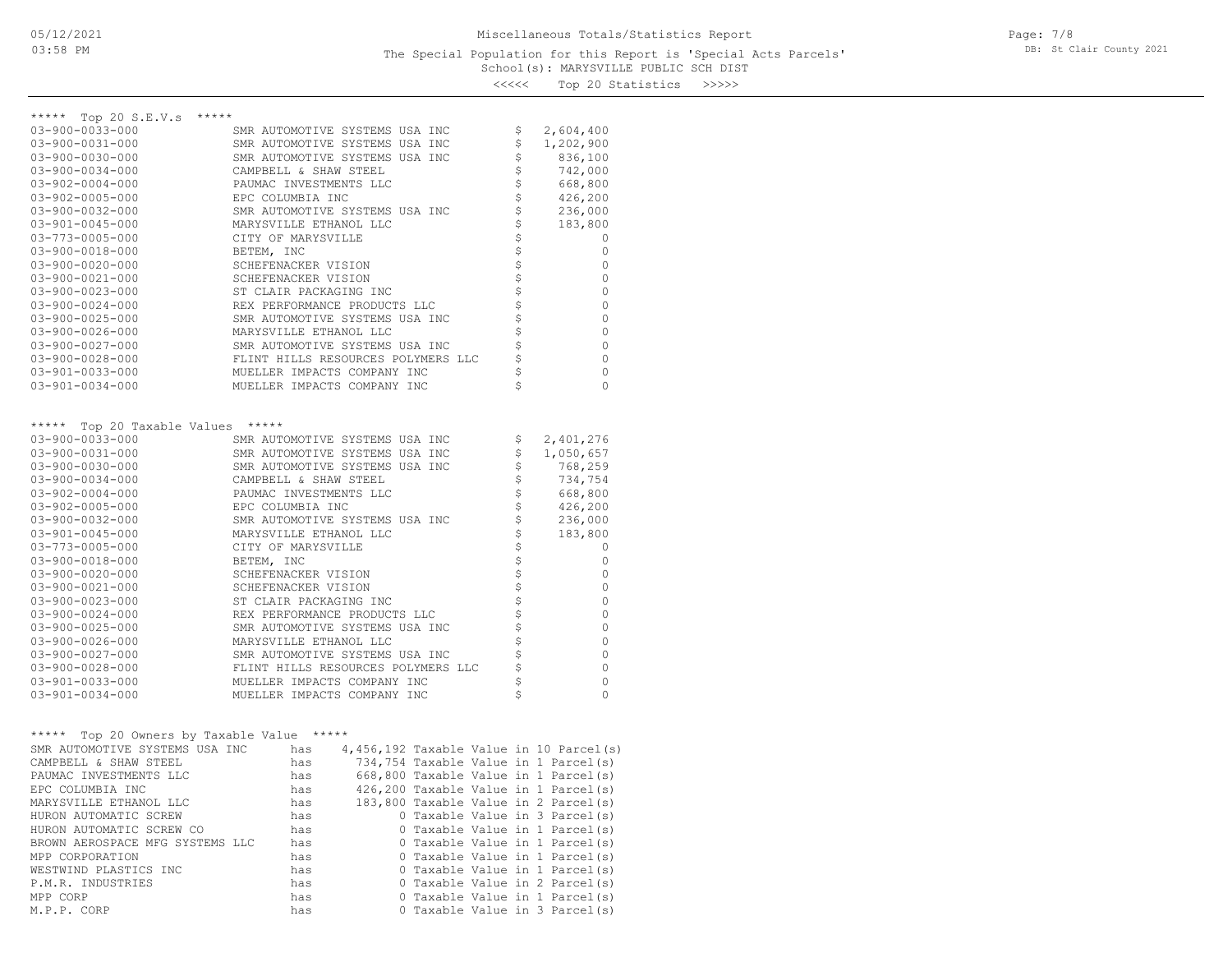<<<<< Top 20 Statistics >>>>>

| *****<br>Top 20 $S.E.V.s$<br>*****         |                                                                         |                     |
|--------------------------------------------|-------------------------------------------------------------------------|---------------------|
| 03-900-0033-000                            | SMR AUTOMOTIVE SYSTEMS USA INC                                          | \$<br>2,604,400     |
| 03-900-0031-000                            | SMR AUTOMOTIVE SYSTEMS USA INC                                          | \$<br>1,202,900     |
| $03 - 900 - 0030 - 000$                    | SMR AUTOMOTIVE SYSTEMS USA INC                                          | \$<br>836,100       |
| $03 - 900 - 0034 - 000$                    | CAMPBELL & SHAW STEEL                                                   | \$<br>742,000       |
| $03 - 902 - 0004 - 000$                    | PAUMAC INVESTMENTS LLC                                                  | \$<br>668,800       |
| $03 - 902 - 0005 - 000$                    | EPC COLUMBIA INC                                                        | \$<br>426,200       |
| $03 - 900 - 0032 - 000$                    | SMR AUTOMOTIVE SYSTEMS USA INC                                          | \$<br>236,000       |
| $03 - 901 - 0045 - 000$                    | MARYSVILLE ETHANOL LLC                                                  | \$<br>183,800       |
| 03-773-0005-000                            | CITY OF MARYSVILLE                                                      | \$<br>0             |
| 03-900-0018-000                            | BETEM, INC                                                              | \$<br>0             |
| $03 - 900 - 0020 - 000$                    | SCHEFENACKER VISION                                                     | \$<br>0             |
| $03 - 900 - 0021 - 000$                    | SCHEFENACKER VISION                                                     | \$<br>0             |
| $03 - 900 - 0023 - 000$                    | ST CLAIR PACKAGING INC                                                  | \$<br>0             |
| $03 - 900 - 0024 - 000$                    | REX PERFORMANCE PRODUCTS LLC                                            | 0                   |
| 03-900-0025-000                            | SMR AUTOMOTIVE SYSTEMS USA INC                                          | \$<br>0             |
| $03 - 900 - 0026 - 000$                    | MARYSVILLE ETHANOL LLC                                                  | \$<br>0             |
| 03-900-0027-000                            | SMR AUTOMOTIVE SYSTEMS USA INC                                          | \$<br>0             |
| $03 - 900 - 0028 - 000$                    | FLINT HILLS RESOURCES POLYMERS LLC                                      | \$<br>0             |
| $03 - 901 - 0033 - 000$                    | MUELLER IMPACTS COMPANY INC                                             | \$<br>0             |
| $03 - 901 - 0034 - 000$                    | MUELLER IMPACTS COMPANY INC                                             | \$<br>0             |
|                                            |                                                                         |                     |
| *****<br>Top 20 Taxable Values             | *****                                                                   |                     |
| 03-900-0033-000                            | SMR AUTOMOTIVE SYSTEMS USA INC                                          | \$<br>2,401,276     |
| 03-900-0031-000                            | SMR AUTOMOTIVE SYSTEMS USA INC                                          | \$<br>1,050,657     |
| $03 - 900 - 0030 - 000$                    | SMR AUTOMOTIVE SYSTEMS USA INC                                          | \$<br>768,259       |
| $03 - 900 - 0034 - 000$                    | CAMPBELL & SHAW STEEL                                                   | \$<br>734,754       |
| $03 - 902 - 0004 - 000$                    | PAUMAC INVESTMENTS LLC                                                  | \$<br>668,800       |
| $03 - 902 - 0005 - 000$                    | EPC COLUMBIA INC                                                        | \$<br>426,200       |
| $03 - 900 - 0032 - 000$                    | SMR AUTOMOTIVE SYSTEMS USA INC                                          | \$<br>236,000<br>\$ |
| $03 - 901 - 0045 - 000$<br>03-773-0005-000 | MARYSVILLE ETHANOL LLC<br>CITY OF MARYSVILLE                            | 183,800<br>\$<br>0  |
| $03 - 900 - 0018 - 000$                    | BETEM, INC                                                              | \$<br>0             |
| 03-900-0020-000                            | SCHEFENACKER VISION                                                     | \$<br>0             |
| $03 - 900 - 0021 - 000$                    | SCHEFENACKER VISION                                                     | \$<br>0             |
| $03 - 900 - 0023 - 000$                    | ST CLAIR PACKAGING INC                                                  | \$<br>0             |
| $03 - 900 - 0024 - 000$                    | REX PERFORMANCE PRODUCTS LLC                                            | \$<br>0             |
| $03 - 900 - 0025 - 000$                    | SMR AUTOMOTIVE SYSTEMS USA INC                                          | \$<br>0             |
| $03 - 900 - 0026 - 000$                    | MARYSVILLE ETHANOL LLC                                                  | \$<br>0             |
| 03-900-0027-000                            | SMR AUTOMOTIVE SYSTEMS USA INC                                          | \$<br>0             |
| $03 - 900 - 0028 - 000$                    | FLINT HILLS RESOURCES POLYMERS LLC                                      | \$<br>0             |
| $03 - 901 - 0033 - 000$                    | MUELLER IMPACTS COMPANY INC                                             | \$<br>0             |
| $03 - 901 - 0034 - 000$                    | MUELLER IMPACTS COMPANY INC                                             | \$<br>0             |
|                                            |                                                                         |                     |
| *****<br>Top 20 Owners by Taxable Value    | *****                                                                   |                     |
| SMR AUTOMOTIVE SYSTEMS USA INC             | $4,456,192$ Taxable Value in 10 Parcel(s)<br>has                        |                     |
| CAMPBELL & SHAW STEEL                      | 734,754 Taxable Value in 1 Parcel(s)<br>has                             |                     |
| PAUMAC INVESTMENTS LLC                     | 668,800 Taxable Value in 1 Parcel(s)<br>has                             |                     |
| EPC COLUMBIA INC                           | 426,200 Taxable Value in 1 Parcel(s)<br>has                             |                     |
| MARYSVILLE ETHANOL LLC                     | has<br>183,800 Taxable Value in 2 Parcel(s)                             |                     |
| HURON AUTOMATIC SCREW                      | 0 Taxable Value in 3 Parcel(s)<br>has                                   |                     |
| HURON AUTOMATIC SCREW CO                   | 0 Taxable Value in 1 Parcel(s)<br>has                                   |                     |
| BROWN AEROSPACE MFG SYSTEMS LLC            | 0 Taxable Value in 1 Parcel(s)<br>has                                   |                     |
| MPP CORPORATION                            | 0 Taxable Value in 1 Parcel(s)<br>has                                   |                     |
| WESTWIND PLASTICS INC                      | 0 Taxable Value in 1 Parcel(s)<br>has                                   |                     |
| P.M.R. INDUSTRIES                          | 0 Taxable Value in 2 Parcel(s)<br>has<br>0 Taxable Value in 1 Parcel(s) |                     |
| MPP CORP<br>M.P.P. CORP                    | has<br>0 Taxable Value in 3 Parcel(s)<br>has                            |                     |
|                                            |                                                                         |                     |